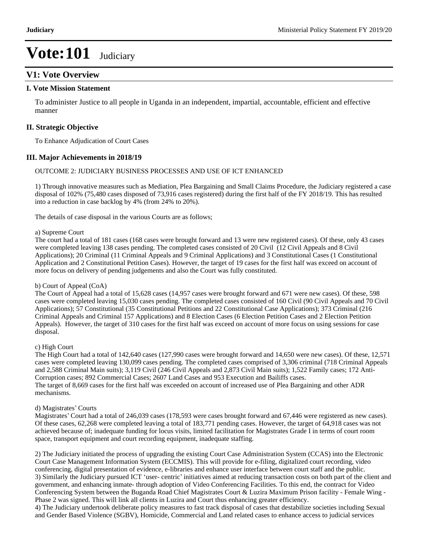## **V1: Vote Overview**

#### **I. Vote Mission Statement**

To administer Justice to all people in Uganda in an independent, impartial, accountable, efficient and effective manner

#### **II. Strategic Objective**

To Enhance Adjudication of Court Cases

#### **III. Major Achievements in 2018/19**

#### OUTCOME 2: JUDICIARY BUSINESS PROCESSES AND USE OF ICT ENHANCED

1) Through innovative measures such as Mediation, Plea Bargaining and Small Claims Procedure, the Judiciary registered a case disposal of 102% (75,480 cases disposed of 73,916 cases registered) during the first half of the FY 2018/19. This has resulted into a reduction in case backlog by 4% (from 24% to 20%).

The details of case disposal in the various Courts are as follows;

#### a) Supreme Court

The court had a total of 181 cases (168 cases were brought forward and 13 were new registered cases). Of these, only 43 cases were completed leaving 138 cases pending. The completed cases consisted of 20 Civil (12 Civil Appeals and 8 Civil Applications); 20 Criminal (11 Criminal Appeals and 9 Criminal Applications) and 3 Constitutional Cases (1 Constitutional Application and 2 Constitutional Petition Cases). However, the target of 19 cases for the first half was exceed on account of more focus on delivery of pending judgements and also the Court was fully constituted.

#### b) Court of Appeal (CoA)

The Court of Appeal had a total of 15,628 cases (14,957 cases were brought forward and 671 were new cases). Of these, 598 cases were completed leaving 15,030 cases pending. The completed cases consisted of 160 Civil (90 Civil Appeals and 70 Civil Applications); 57 Constitutional (35 Constitutional Petitions and 22 Constitutional Case Applications); 373 Criminal (216 Criminal Appeals and Criminal 157 Applications) and 8 Election Cases (6 Election Petition Cases and 2 Election Petition Appeals). However, the target of 310 cases for the first half was exceed on account of more focus on using sessions for case disposal.

#### c) High Court

The High Court had a total of 142,640 cases (127,990 cases were brought forward and 14,650 were new cases). Of these, 12,571 cases were completed leaving 130,099 cases pending. The completed cases comprised of 3,306 criminal (718 Criminal Appeals and 2,588 Criminal Main suits); 3,119 Civil (246 Civil Appeals and 2,873 Civil Main suits); 1,522 Family cases; 172 Anti-Corruption cases; 892 Commercial Cases; 2607 Land Cases and 953 Execution and Bailiffs cases. The target of 8,669 cases for the first half was exceeded on account of increased use of Plea Bargaining and other ADR mechanisms.

#### d) Magistrates' Courts

Magistrates' Court had a total of 246,039 cases (178,593 were cases brought forward and 67,446 were registered as new cases). Of these cases, 62,268 were completed leaving a total of 183,771 pending cases. However, the target of 64,918 cases was not achieved because of; inadequate funding for locus visits, limited facilitation for Magistrates Grade I in terms of court room space, transport equipment and court recording equipment, inadequate staffing.

2) The Judiciary initiated the process of upgrading the existing Court Case Administration System (CCAS) into the Electronic Court Case Management Information System (ECCMIS). This will provide for e-filing, digitalized court recording, video conferencing, digital presentation of evidence, e-libraries and enhance user interface between court staff and the public. 3) Similarly the Judiciary pursued ICT 'user- centric' initiatives aimed at reducing transaction costs on both part of the client and government, and enhancing inmate- through adoption of Video Conferencing Facilities. To this end, the contract for Video Conferencing System between the Buganda Road Chief Magistrates Court & Luzira Maximum Prison facility - Female Wing - Phase 2 was signed. This will link all clients in Luzira and Court thus enhancing greater efficiency.

4) The Judiciary undertook deliberate policy measures to fast track disposal of cases that destabilize societies including Sexual and Gender Based Violence (SGBV), Homicide, Commercial and Land related cases to enhance access to judicial services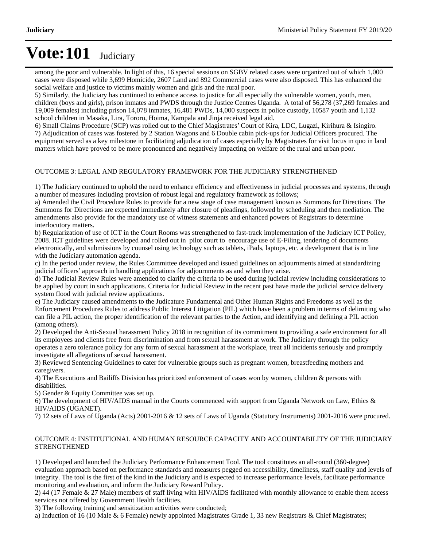among the poor and vulnerable. In light of this, 16 special sessions on SGBV related cases were organized out of which 1,000 cases were disposed while 3,699 Homicide, 2607 Land and 892 Commercial cases were also disposed. This has enhanced the social welfare and justice to victims mainly women and girls and the rural poor.

5) Similarly, the Judiciary has continued to enhance access to justice for all especially the vulnerable women, youth, men, children (boys and girls), prison inmates and PWDS through the Justice Centres Uganda. A total of 56,278 (37,269 females and 19,009 females) including prison 14,078 inmates, 16,481 PWDs, 14,000 suspects in police custody, 10587 youth and 1,132 school children in Masaka, Lira, Tororo, Hoima, Kampala and Jinja received legal aid.

6) Small Claims Procedure (SCP) was rolled out to the Chief Magistrates' Court of Kira, LDC, Lugazi, Kirihura & Isingiro. 7) Adjudication of cases was fostered by 2 Station Wagons and 6 Double cabin pick-ups for Judicial Officers procured. The equipment served as a key milestone in facilitating adjudication of cases especially by Magistrates for visit locus in quo in land matters which have proved to be more pronounced and negatively impacting on welfare of the rural and urban poor.

#### OUTCOME 3: LEGAL AND REGULATORY FRAMEWORK FOR THE JUDICIARY STRENGTHENED

1) The Judiciary continued to uphold the need to enhance efficiency and effectiveness in judicial processes and systems, through a number of measures including provision of robust legal and regulatory framework as follows;

a) Amended the Civil Procedure Rules to provide for a new stage of case management known as Summons for Directions. The Summons for Directions are expected immediately after closure of pleadings, followed by scheduling and then mediation. The amendments also provide for the mandatory use of witness statements and enhanced powers of Registrars to determine interlocutory matters.

b) Regularization of use of ICT in the Court Rooms was strengthened to fast-track implementation of the Judiciary ICT Policy, 2008. ICT guidelines were developed and rolled out in pilot court to encourage use of E-Filing, tendering of documents electronically, and submissions by counsel using technology such as tablets, iPads, laptops, etc. a development that is in line with the Judiciary automation agenda.

c) In the period under review, the Rules Committee developed and issued guidelines on adjournments aimed at standardizing judicial officers' approach in handling applications for adjournments as and when they arise.

d) The Judicial Review Rules were amended to clarify the criteria to be used during judicial review including considerations to be applied by court in such applications. Criteria for Judicial Review in the recent past have made the judicial service delivery system flood with judicial review applications.

e) The Judiciary caused amendments to the Judicature Fundamental and Other Human Rights and Freedoms as well as the Enforcement Procedures Rules to address Public Interest Litigation (PIL) which have been a problem in terms of delimiting who can file a PIL action, the proper identification of the relevant parties to the Action, and identifying and defining a PIL action (among others).

2) Developed the Anti-Sexual harassment Policy 2018 in recognition of its commitment to providing a safe environment for all its employees and clients free from discrimination and from sexual harassment at work. The Judiciary through the policy operates a zero tolerance policy for any form of sexual harassment at the workplace, treat all incidents seriously and promptly investigate all allegations of sexual harassment.

3) Reviewed Sentencing Guidelines to cater for vulnerable groups such as pregnant women, breastfeeding mothers and caregivers.

4) The Executions and Bailiffs Division has prioritized enforcement of cases won by women, children & persons with disabilities.

5) Gender & Equity Committee was set up.

6) The development of HIV/AIDS manual in the Courts commenced with support from Uganda Network on Law, Ethics & HIV/AIDS (UGANET).

7) 12 sets of Laws of Uganda (Acts) 2001-2016 & 12 sets of Laws of Uganda (Statutory Instruments) 2001-2016 were procured.

#### OUTCOME 4: INSTITUTIONAL AND HUMAN RESOURCE CAPACITY AND ACCOUNTABILITY OF THE JUDICIARY STRENGTHENED

1) Developed and launched the Judiciary Performance Enhancement Tool. The tool constitutes an all-round (360-degree) evaluation approach based on performance standards and measures pegged on accessibility, timeliness, staff quality and levels of integrity. The tool is the first of the kind in the Judiciary and is expected to increase performance levels, facilitate performance monitoring and evaluation, and inform the Judiciary Reward Policy.

2) 44 (17 Female & 27 Male) members of staff living with HIV/AIDS facilitated with monthly allowance to enable them access services not offered by Government Health facilities.

3) The following training and sensitization activities were conducted;

a) Induction of 16 (10 Male & 6 Female) newly appointed Magistrates Grade 1, 33 new Registrars & Chief Magistrates;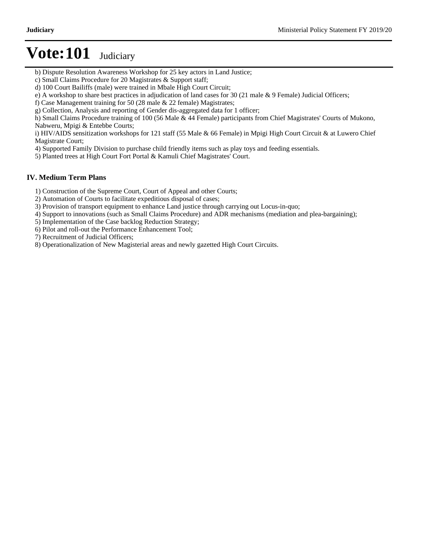- b) Dispute Resolution Awareness Workshop for 25 key actors in Land Justice;
- c) Small Claims Procedure for 20 Magistrates & Support staff;
- d) 100 Court Bailiffs (male) were trained in Mbale High Court Circuit;
- e) A workshop to share best practices in adjudication of land cases for 30 (21 male & 9 Female) Judicial Officers;
- f) Case Management training for 50 (28 male & 22 female) Magistrates;
- g) Collection, Analysis and reporting of Gender dis-aggregated data for 1 officer;
- h) Small Claims Procedure training of 100 (56 Male & 44 Female) participants from Chief Magistrates' Courts of Mukono, Nabweru, Mpigi & Entebbe Courts;

i) HIV/AIDS sensitization workshops for 121 staff (55 Male & 66 Female) in Mpigi High Court Circuit & at Luwero Chief Magistrate Court;

- 4) Supported Family Division to purchase child friendly items such as play toys and feeding essentials.
- 5) Planted trees at High Court Fort Portal & Kamuli Chief Magistrates' Court.

#### **IV. Medium Term Plans**

- 1) Construction of the Supreme Court, Court of Appeal and other Courts;
- 2) Automation of Courts to facilitate expeditious disposal of cases;
- 3) Provision of transport equipment to enhance Land justice through carrying out Locus-in-quo;
- 4) Support to innovations (such as Small Claims Procedure) and ADR mechanisms (mediation and plea-bargaining);
- 5) Implementation of the Case backlog Reduction Strategy;
- 6) Pilot and roll-out the Performance Enhancement Tool;
- 7) Recruitment of Judicial Officers;
- 8) Operationalization of New Magisterial areas and newly gazetted High Court Circuits.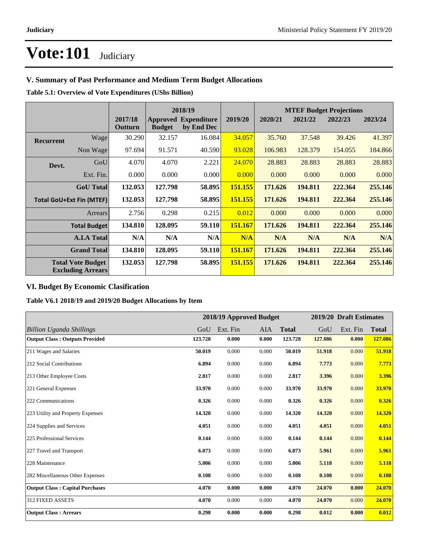### **V. Summary of Past Performance and Medium Term Budget Allocations**

**Table 5.1: Overview of Vote Expenditures (UShs Billion)**

|           |                                                      |                    |               | 2018/19                                   |         |         |         | <b>MTEF Budget Projections</b> |         |
|-----------|------------------------------------------------------|--------------------|---------------|-------------------------------------------|---------|---------|---------|--------------------------------|---------|
|           |                                                      | 2017/18<br>Outturn | <b>Budget</b> | <b>Approved Expenditure</b><br>by End Dec | 2019/20 | 2020/21 | 2021/22 | 2022/23                        | 2023/24 |
| Recurrent | Wagel                                                | 30.290             | 32.157        | 16.084                                    | 34.057  | 35.760  | 37.548  | 39.426                         | 41.397  |
|           | Non Wage                                             | 97.694             | 91.571        | 40.590                                    | 93.028  | 106.983 | 128.379 | 154.055                        | 184.866 |
| Devt.     | GoU                                                  | 4.070              | 4.070         | 2.221                                     | 24.070  | 28.883  | 28.883  | 28.883                         | 28.883  |
|           | Ext. Fin.                                            | 0.000              | 0.000         | 0.000                                     | 0.000   | 0.000   | 0.000   | 0.000                          | 0.000   |
|           | <b>GoU</b> Total                                     | 132.053            | 127.798       | 58.895                                    | 151.155 | 171.626 | 194.811 | 222.364                        | 255.146 |
|           | <b>Total GoU+Ext Fin (MTEF)</b>                      | 132.053            | 127.798       | 58.895                                    | 151.155 | 171.626 | 194.811 | 222.364                        | 255,146 |
|           | <b>Arrears</b>                                       | 2.756              | 0.298         | 0.215                                     | 0.012   | 0.000   | 0.000   | 0.000                          | 0.000   |
|           | <b>Total Budget</b>                                  | 134.810            | 128.095       | 59.110                                    | 151.167 | 171.626 | 194.811 | 222.364                        | 255.146 |
|           | <b>A.I.A Total</b>                                   | N/A                | N/A           | N/A                                       | N/A     | N/A     | N/A     | N/A                            | N/A     |
|           | <b>Grand Total</b>                                   | 134.810            | 128.095       | 59.110                                    | 151.167 | 171.626 | 194.811 | 222.364                        | 255,146 |
|           | <b>Total Vote Budget</b><br><b>Excluding Arrears</b> | 132.053            | 127.798       | 58.895                                    | 151.155 | 171.626 | 194.811 | 222.364                        | 255.146 |

### **VI. Budget By Economic Clasification**

**Table V6.1 2018/19 and 2019/20 Budget Allocations by Item**

|                                        |         |          | 2018/19 Approved Budget |              |         | 2019/20 Draft Estimates |              |
|----------------------------------------|---------|----------|-------------------------|--------------|---------|-------------------------|--------------|
| <b>Billion Uganda Shillings</b>        | GoU     | Ext. Fin | AIA                     | <b>Total</b> | GoU     | Ext. Fin                | <b>Total</b> |
| <b>Output Class: Outputs Provided</b>  | 123.728 | 0.000    | 0.000                   | 123.728      | 127.086 | 0.000                   | 127.086      |
| 211 Wages and Salaries                 | 50.019  | 0.000    | 0.000                   | 50.019       | 51.918  | 0.000                   | 51.918       |
| 212 Social Contributions               | 6.894   | 0.000    | 0.000                   | 6.894        | 7.773   | 0.000                   | 7.773        |
| 213 Other Employee Costs               | 2.817   | 0.000    | 0.000                   | 2.817        | 3.396   | 0.000                   | 3.396        |
| 221 General Expenses                   | 33.970  | 0.000    | 0.000                   | 33.970       | 33.970  | 0.000                   | 33.970       |
| 222 Communications                     | 0.326   | 0.000    | 0.000                   | 0.326        | 0.326   | 0.000                   | 0.326        |
| 223 Utility and Property Expenses      | 14.320  | 0.000    | 0.000                   | 14.320       | 14.320  | 0.000                   | 14.320       |
| 224 Supplies and Services              | 4.051   | 0.000    | 0.000                   | 4.051        | 4.051   | 0.000                   | 4.051        |
| 225 Professional Services              | 0.144   | 0.000    | 0.000                   | 0.144        | 0.144   | 0.000                   | 0.144        |
| 227 Travel and Transport               | 6.073   | 0.000    | 0.000                   | 6.073        | 5.961   | 0.000                   | 5.961        |
| 228 Maintenance                        | 5.006   | 0.000    | 0.000                   | 5.006        | 5.118   | 0.000                   | 5.118        |
| 282 Miscellaneous Other Expenses       | 0.108   | 0.000    | 0.000                   | 0.108        | 0.108   | 0.000                   | 0.108        |
| <b>Output Class: Capital Purchases</b> | 4.070   | 0.000    | 0.000                   | 4.070        | 24.070  | 0.000                   | 24.070       |
| 312 FIXED ASSETS                       | 4.070   | 0.000    | 0.000                   | 4.070        | 24.070  | 0.000                   | 24.070       |
| <b>Output Class: Arrears</b>           | 0.298   | 0.000    | 0.000                   | 0.298        | 0.012   | 0.000                   | 0.012        |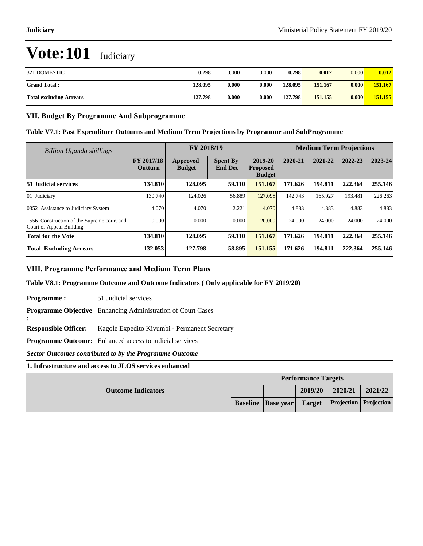| 321 DOMESTIC                   | 0.298   | 0.000 | 0.000 | 0.298   | 0.012   | 0.000 | 0.012   |
|--------------------------------|---------|-------|-------|---------|---------|-------|---------|
| <b>Grand Total:</b>            | 128.095 | 0.000 | 0.000 | 128.095 | 151.167 | 0.000 | 151.167 |
| <b>Total excluding Arrears</b> | 127.798 | 0.000 | 0.000 | 127.798 | 151.155 | 0.000 | 151.155 |

#### **VII. Budget By Programme And Subprogramme**

#### **Table V7.1: Past Expenditure Outturns and Medium Term Projections by Programme and SubProgramme**

| Billion Uganda shillings                                               |                              | FY 2018/19                |                                   |                                             | <b>Medium Term Projections</b> |         |         |         |
|------------------------------------------------------------------------|------------------------------|---------------------------|-----------------------------------|---------------------------------------------|--------------------------------|---------|---------|---------|
|                                                                        | FY 2017/18<br><b>Outturn</b> | Approved<br><b>Budget</b> | <b>Spent By</b><br><b>End Dec</b> | 2019-20<br><b>Proposed</b><br><b>Budget</b> | 2020-21                        | 2021-22 | 2022-23 | 2023-24 |
| 51 Judicial services                                                   | 134.810                      | 128.095                   | 59.110                            | 151.167                                     | 171.626                        | 194.811 | 222.364 | 255.146 |
| 01 Judiciary                                                           | 130.740                      | 124.026                   | 56.889                            | 127.098                                     | 142.743                        | 165.927 | 193.481 | 226.263 |
| 0352 Assistance to Judiciary System                                    | 4.070                        | 4.070                     | 2.221                             | 4.070                                       | 4.883                          | 4.883   | 4.883   | 4.883   |
| 1556 Construction of the Supreme court and<br>Court of Appeal Building | 0.000                        | 0.000                     | 0.000                             | 20,000                                      | 24.000                         | 24.000  | 24.000  | 24.000  |
| <b>Total for the Vote</b>                                              | 134.810                      | 128.095                   | 59.110                            | 151.167                                     | 171.626                        | 194.811 | 222.364 | 255.146 |
| <b>Total Excluding Arrears</b>                                         | 132.053                      | 127.798                   | 58.895                            | 151.155                                     | 171.626                        | 194.811 | 222.364 | 255.146 |

#### **VIII. Programme Performance and Medium Term Plans**

#### **Table V8.1: Programme Outcome and Outcome Indicators ( Only applicable for FY 2019/20)**

| <b>Programme:</b>           | 51 Judicial services                                               |                 |                  |                            |            |            |  |  |
|-----------------------------|--------------------------------------------------------------------|-----------------|------------------|----------------------------|------------|------------|--|--|
| :                           | <b>Programme Objective</b> Enhancing Administration of Court Cases |                 |                  |                            |            |            |  |  |
| <b>Responsible Officer:</b> | Kagole Expedito Kivumbi - Permanent Secretary                      |                 |                  |                            |            |            |  |  |
|                             | <b>Programme Outcome:</b> Enhanced access to judicial services     |                 |                  |                            |            |            |  |  |
|                             | Sector Outcomes contributed to by the Programme Outcome            |                 |                  |                            |            |            |  |  |
|                             | 1. Infrastructure and access to JLOS services enhanced             |                 |                  |                            |            |            |  |  |
|                             |                                                                    |                 |                  | <b>Performance Targets</b> |            |            |  |  |
|                             | 2020/21<br>2021/22<br>2019/20<br><b>Outcome Indicators</b>         |                 |                  |                            |            |            |  |  |
|                             |                                                                    | <b>Baseline</b> | <b>Base year</b> | <b>Target</b>              | Projection | Projection |  |  |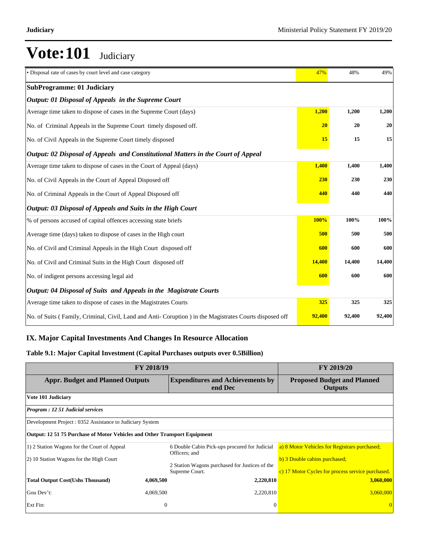| • Disposal rate of cases by court level and case category                                               | 47%    | 48%    | 49%    |
|---------------------------------------------------------------------------------------------------------|--------|--------|--------|
| <b>SubProgramme: 01 Judiciary</b>                                                                       |        |        |        |
| Output: 01 Disposal of Appeals in the Supreme Court                                                     |        |        |        |
| Average time taken to dispose of cases in the Supreme Court (days)                                      | 1,200  | 1,200  | 1,200  |
| No. of Criminal Appeals in the Supreme Court timely disposed off.                                       | 20     | 20     | 20     |
| No. of Civil Appeals in the Supreme Court timely disposed                                               | 15     | 15     | 15     |
| Output: 02 Disposal of Appeals and Constitutional Matters in the Court of Appeal                        |        |        |        |
| Average time taken to dispose of cases in the Court of Appeal (days)                                    | 1,400  | 1,400  | 1,400  |
| No. of Civil Appeals in the Court of Appeal Disposed off                                                | 230    | 230    | 230    |
| No. of Criminal Appeals in the Court of Appeal Disposed off                                             | 440    | 440    | 440    |
| Output: 03 Disposal of Appeals and Suits in the High Court                                              |        |        |        |
| % of persons accused of capital offences accessing state briefs                                         | 100%   | 100%   | 100%   |
| Average time (days) taken to dispose of cases in the High court                                         | 500    | 500    | 500    |
| No. of Civil and Criminal Appeals in the High Court disposed off                                        | 600    | 600    | 600    |
| No. of Civil and Criminal Suits in the High Court disposed off                                          | 14,400 | 14,400 | 14,400 |
| No. of indigent persons accessing legal aid                                                             | 600    | 600    | 600    |
| Output: 04 Disposal of Suits and Appeals in the Magistrate Courts                                       |        |        |        |
| Average time taken to dispose of cases in the Magistrates Courts                                        | 325    | 325    | 325    |
| No. of Suits (Family, Criminal, Civil, Land and Anti- Coruption) in the Magistrates Courts disposed off | 92,400 | 92,400 | 92,400 |

### **IX. Major Capital Investments And Changes In Resource Allocation**

### **Table 9.1: Major Capital Investment (Capital Purchases outputs over 0.5Billion)**

| FY 2018/19                                                                | <b>FY 2019/20</b>                                  |                                                                |                                                   |
|---------------------------------------------------------------------------|----------------------------------------------------|----------------------------------------------------------------|---------------------------------------------------|
| <b>Appr. Budget and Planned Outputs</b>                                   | <b>Expenditures and Achievements by</b><br>end Dec | <b>Proposed Budget and Planned</b><br><b>Outputs</b>           |                                                   |
| Vote 101 Judiciary                                                        |                                                    |                                                                |                                                   |
| Program : 12 51 Judicial services                                         |                                                    |                                                                |                                                   |
| Development Project: 0352 Assistance to Judiciary System                  |                                                    |                                                                |                                                   |
| Output: 12 51 75 Purchase of Motor Vehicles and Other Transport Equipment |                                                    |                                                                |                                                   |
| 1) 2 Station Wagons for the Court of Appeal                               |                                                    | 6 Double Cabin Pick-ups procured for Judicial<br>Officers; and | a) 8 Motor Vehicles for Registrars purchased;     |
| 2) 10 Station Wagons for the High Court                                   |                                                    | 2 Station Wagons purchased for Justices of the                 | b) 3 Double cabins purchased;                     |
|                                                                           |                                                    | Supreme Court.                                                 | c) 17 Motor Cycles for process service purchased. |
| <b>Total Output Cost (Ushs Thousand)</b>                                  | 4,069,500                                          | 2,220,810                                                      | 3,060,000                                         |
| Gou Dev't:                                                                | 4,069,500                                          | 2,220,810                                                      | 3,060,000                                         |
| Ext Fin:                                                                  | $\mathbf{0}$                                       | $\Omega$                                                       |                                                   |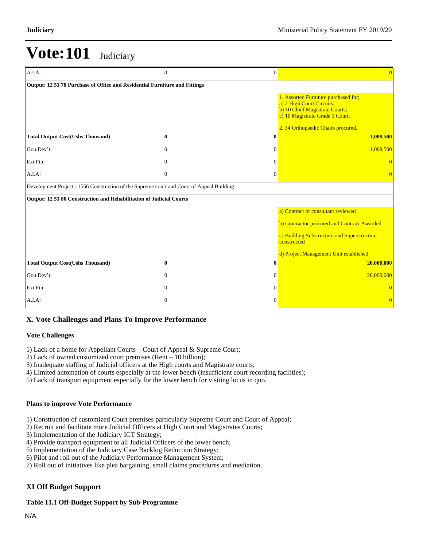| A.I.A.                                                                                   | $\overline{0}$ | $\mathbf{0}$ | $\overline{0}$                                                                                                                                                               |
|------------------------------------------------------------------------------------------|----------------|--------------|------------------------------------------------------------------------------------------------------------------------------------------------------------------------------|
| Output: 12 51 78 Purchase of Office and Residential Furniture and Fittings               |                |              |                                                                                                                                                                              |
|                                                                                          |                |              | 1. Assorted Furniture purchased for;<br>a) 2 High Court Circuits;<br>b) 10 Chief Magistrate Courts;<br>c) 10 Magistrate Grade 1 Court.<br>2. 34 Orthopaedic Chairs procured. |
| <b>Total Output Cost(Ushs Thousand)</b>                                                  | $\bf{0}$       | $\bf{0}$     | 1,009,500                                                                                                                                                                    |
| Gou Dev't:                                                                               | $\theta$       | $\Omega$     | 1,009,500                                                                                                                                                                    |
| Ext Fin:                                                                                 | $\overline{0}$ | $\Omega$     | $\Omega$                                                                                                                                                                     |
| A.I.A.                                                                                   | $\overline{0}$ | $\mathbf{0}$ | $\Omega$                                                                                                                                                                     |
| Development Project: 1556 Construction of the Supreme court and Court of Appeal Building |                |              |                                                                                                                                                                              |
| Output: 12 51 80 Construction and Rehabilitation of Judicial Courts                      |                |              |                                                                                                                                                                              |
|                                                                                          |                |              | a) Contract of consultant reviewed                                                                                                                                           |
|                                                                                          |                |              | b) Contractor procured and Contract Awarded                                                                                                                                  |
|                                                                                          |                |              | c) Building Substructure and Superstructure<br>constructed                                                                                                                   |
|                                                                                          |                |              | d) Project Management Unit established                                                                                                                                       |
| <b>Total Output Cost(Ushs Thousand)</b>                                                  | $\mathbf{0}$   | 0            | 20,000,000                                                                                                                                                                   |
| Gou Dev't:                                                                               | $\Omega$       | $\Omega$     | 20,000,000                                                                                                                                                                   |
| Ext Fin:                                                                                 | $\Omega$       | $\Omega$     | $\Omega$                                                                                                                                                                     |
| $A.I.A$ :                                                                                | $\Omega$       | $\Omega$     | $\Omega$                                                                                                                                                                     |

## **X. Vote Challenges and Plans To Improve Performance**

#### **Vote Challenges**

1) Lack of a home for Appellant Courts - Court of Appeal & Supreme Court;

- 2) Lack of owned customized court premises (Rent  $-10$  billion);
- 3) Inadequate staffing of Judicial officers at the High courts and Magistrate courts;
- 4) Limited automation of courts especially at the lower bench (insufficient court recording facilities);
- 5) Lack of transport equipment especially for the lower bench for visiting locus in quo.

#### **Plans to improve Vote Performance**

- 1) Construction of customized Court premises particularly Supreme Court and Court of Appeal;
- 2) Recruit and facilitate more Judicial Officers at High Court and Magistrates Courts;
- 3) Implementation of the Judiciary ICT Strategy;
- 4) Provide transport equipment to all Judicial Officers of the lower bench;
- 5) Implementation of the Judiciary Case Backlog Reduction Strategy;
- 6) Pilot and roll out of the Judiciary Performance Management System;
- 7) Roll out of initiatives like plea bargaining, small claims procedures and mediation.

### **XI Off Budget Support**

#### **Table 11.1 Off-Budget Support by Sub-Programme**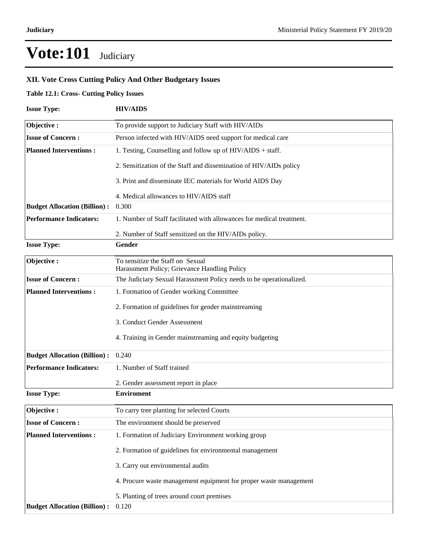### **XII. Vote Cross Cutting Policy And Other Budgetary Issues**

### **Table 12.1: Cross- Cutting Policy Issues**

| <b>Issue Type:</b>                  | <b>HIV/AIDS</b>                                                                  |
|-------------------------------------|----------------------------------------------------------------------------------|
| Objective:                          | To provide support to Judiciary Staff with HIV/AIDs                              |
| <b>Issue of Concern:</b>            | Person infected with HIV/AIDS need support for medical care                      |
| <b>Planned Interventions:</b>       | 1. Testing, Counselling and follow up of $HIV/AIDS + \text{staff}$ .             |
|                                     | 2. Sensitization of the Staff and dissemination of HIV/AIDs policy               |
|                                     | 3. Print and disseminate IEC materials for World AIDS Day                        |
|                                     | 4. Medical allowances to HIV/AIDS staff                                          |
| <b>Budget Allocation (Billion):</b> | 0.300                                                                            |
| <b>Performance Indicators:</b>      | 1. Number of Staff facilitated with allowances for medical treatment.            |
|                                     | 2. Number of Staff sensitized on the HIV/AIDs policy.                            |
| <b>Issue Type:</b>                  | Gender                                                                           |
| Objective:                          | To sensitize the Staff on Sexual<br>Harassment Policy; Grievance Handling Policy |
| <b>Issue of Concern:</b>            | The Judiciary Sexual Harassment Policy needs to be operationalized.              |
| <b>Planned Interventions:</b>       | 1. Formation of Gender working Committee                                         |
|                                     | 2. Formation of guidelines for gender mainstreaming                              |
|                                     | 3. Conduct Gender Assessment                                                     |
|                                     | 4. Training in Gender mainstreaming and equity budgeting                         |
| <b>Budget Allocation (Billion):</b> | 0.240                                                                            |
| <b>Performance Indicators:</b>      | 1. Number of Staff trained                                                       |
|                                     | 2. Gender assessment report in place                                             |
| <b>Issue Type:</b>                  | <b>Enviroment</b>                                                                |
| Objective:                          | To carry tree planting for selected Courts                                       |
| <b>Issue of Concern:</b>            | The environment should be preserved                                              |
| <b>Planned Interventions:</b>       | 1. Formation of Judiciary Environment working group                              |
|                                     | 2. Formation of guidelines for environmental management                          |
|                                     | 3. Carry out environmental audits                                                |
|                                     | 4. Procure waste management equipment for proper waste management                |
|                                     | 5. Planting of trees around court premises                                       |
| <b>Budget Allocation (Billion):</b> | 0.120                                                                            |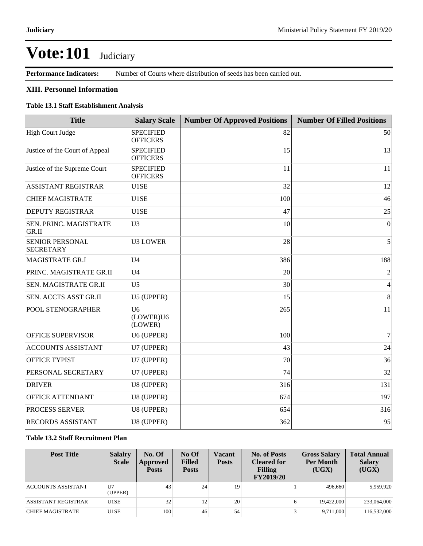**Performance Indicators:** Number of Courts where distribution of seeds has been carried out.

#### **XIII. Personnel Information**

#### **Table 13.1 Staff Establishment Analysis**

| <b>Title</b>                               | <b>Salary Scale</b>                    | <b>Number Of Approved Positions</b> | <b>Number Of Filled Positions</b> |
|--------------------------------------------|----------------------------------------|-------------------------------------|-----------------------------------|
| High Court Judge                           | <b>SPECIFIED</b><br><b>OFFICERS</b>    | 82                                  | 50                                |
| Justice of the Court of Appeal             | <b>SPECIFIED</b><br><b>OFFICERS</b>    | 15                                  | 13                                |
| Justice of the Supreme Court               | <b>SPECIFIED</b><br><b>OFFICERS</b>    | 11                                  | 11                                |
| <b>ASSISTANT REGISTRAR</b>                 | U1SE                                   | 32                                  | 12                                |
| <b>CHIEF MAGISTRATE</b>                    | U1SE                                   | 100                                 | 46                                |
| DEPUTY REGISTRAR                           | U1SE                                   | 47                                  | 25                                |
| SEN. PRINC. MAGISTRATE<br>GR.II            | U <sub>3</sub>                         | 10                                  | $\overline{0}$                    |
| <b>SENIOR PERSONAL</b><br><b>SECRETARY</b> | <b>U3 LOWER</b>                        | 28                                  | 5                                 |
| <b>MAGISTRATE GR.I</b>                     | U <sub>4</sub>                         | 386                                 | 188                               |
| PRINC. MAGISTRATE GR.II                    | U <sub>4</sub>                         | 20                                  | $\sqrt{2}$                        |
| SEN. MAGISTRATE GR.II                      | U <sub>5</sub>                         | 30                                  | $\overline{4}$                    |
| SEN. ACCTS ASST GR.II                      | U5 (UPPER)                             | 15                                  | 8                                 |
| POOL STENOGRAPHER                          | U <sub>6</sub><br>(LOWER)U6<br>(LOWER) | 265                                 | 11                                |
| OFFICE SUPERVISOR                          | U6 (UPPER)                             | 100                                 | $\overline{7}$                    |
| <b>ACCOUNTS ASSISTANT</b>                  | U7 (UPPER)                             | 43                                  | 24                                |
| <b>OFFICE TYPIST</b>                       | U7 (UPPER)                             | 70                                  | 36                                |
| PERSONAL SECRETARY                         | U7 (UPPER)                             | 74                                  | 32                                |
| <b>DRIVER</b>                              | U8 (UPPER)                             | 316                                 | 131                               |
| OFFICE ATTENDANT                           | U8 (UPPER)                             | 674                                 | 197                               |
| PROCESS SERVER                             | U8 (UPPER)                             | 654                                 | 316                               |
| RECORDS ASSISTANT                          | U8 (UPPER)                             | 362                                 | 95                                |

### **Table 13.2 Staff Recruitment Plan**

| <b>Post Title</b>          | <b>Salalry</b><br><b>Scale</b> | No. Of<br>Approved<br><b>Posts</b> | No Of<br><b>Filled</b><br><b>Posts</b> | Vacant<br><b>Posts</b> | No. of Posts<br><b>Cleared for</b><br><b>Filling</b><br><b>FY2019/20</b> | <b>Gross Salary</b><br><b>Per Month</b><br>(UGX) | <b>Total Annual</b><br><b>Salary</b><br>(UGX) |
|----------------------------|--------------------------------|------------------------------------|----------------------------------------|------------------------|--------------------------------------------------------------------------|--------------------------------------------------|-----------------------------------------------|
| ACCOUNTS ASSISTANT         | U7<br>(UPPER)                  | 43                                 | 24                                     | 19                     |                                                                          | 496,660                                          | 5,959,920                                     |
| <b>ASSISTANT REGISTRAR</b> | U1SE                           | 32                                 | 12                                     | 20                     | 6                                                                        | 19.422,000                                       | 233,064,000                                   |
| CHIEF MAGISTRATE           | U1SE                           | 100                                | 46                                     | 54                     |                                                                          | 9,711,000                                        | 116,532,000                                   |